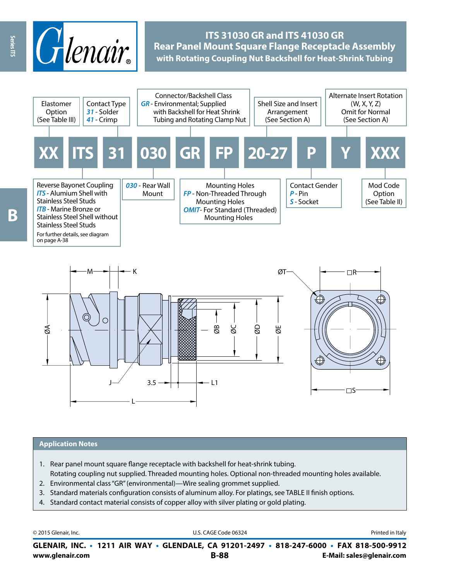

## **ITS 31030 GR and ITS 41030 GR Rear Panel Mount Square Flange Receptacle Assembly with Rotating Coupling Nut Backshell for Heat-Shrink Tubing**



#### **Application Notes**

- 1. Rear panel mount square flange receptacle with backshell for heat-shrink tubing.
- Rotating coupling nut supplied. Threaded mounting holes. Optional non-threaded mounting holes available. 2. Environmental class "GR" (environmental)—Wire sealing grommet supplied.
- 3. Standard materials configuration consists of aluminum alloy. For platings, see TABLE II finish options.
- 4. Standard contact material consists of copper alloy with silver plating or gold plating.

```
www.glenair.com B-88 E-Mail: sales@glenair.com
GLENAIR, INC. • 1211 AIR WAY • GLENDALE, CA 91201-2497 • 818-247-6000 • FAX 818-500-9912
© 2015 Glenair, Inc. Discription Construction Construction Construction Construction Construction Construction Construction Construction Construction Construction Construction Construction Construction Construction Constr
```
Series ITS